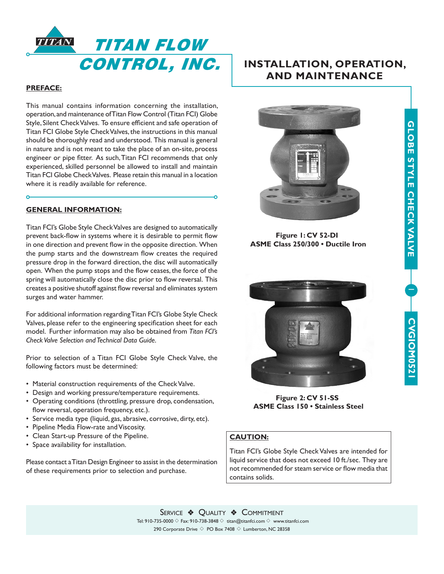

# **PREFACE:**

 $\ddot{\Omega}$ 

This manual contains information concerning the installation, operation, and maintenance of Titan Flow Control (Titan FCI) Globe Style, Silent Check Valves. To ensure efficient and safe operation of Titan FCI Globe Style Check Valves, the instructions in this manual should be thoroughly read and understood. This manual is general in nature and is not meant to take the place of an on-site, process engineer or pipe fitter. As such, Titan FCI recommends that only experienced, skilled personnel be allowed to install and maintain Titan FCI Globe Check Valves. Please retain this manual in a location where it is readily available for reference.

#### **GENERAL INFORMATION:**

Titan FCI's Globe Style Check Valves are designed to automatically prevent back-flow in systems where it is desirable to permit flow in one direction and prevent flow in the opposite direction. When the pump starts and the downstream flow creates the required pressure drop in the forward direction, the disc will automatically open. When the pump stops and the flow ceases, the force of the spring will automatically close the disc prior to flow reversal. This creates a positive shutoff against flow reversal and eliminates system surges and water hammer.

For additional information regarding Titan FCI's Globe Style Check Valves, please refer to the engineering specification sheet for each model. Further information may also be obtained from *Titan FCI's Check Valve Selection and Technical Data Guide*.

Prior to selection of a Titan FCI Globe Style Check Valve, the following factors must be determined:

- Material construction requirements of the Check Valve.
- Design and working pressure/temperature requirements.
- Operating conditions (throttling, pressure drop, condensation, flow reversal, operation frequency, etc.).
- Service media type (liquid, gas, abrasive, corrosive, dirty, etc).
- Pipeline Media Flow-rate and Viscosity.
- Clean Start-up Pressure of the Pipeline.
- Space availability for installation.

Please contact a Titan Design Engineer to assist in the determination of these requirements prior to selection and purchase.

# **INSTALLATION, OPERATION, AND MAINTENANCE**



**Figure 1: CV 52-DI ASME Class 250/300 • Ductile Iron**

1

CVGIOM0521

CVGIOM0521

**CVGIOM0521**

**GLOBE STYLE CHECK VALVE**

GLOBE STYLE CHECK VALVE



**Figure 2: CV 51-SS ASME Class 150 • Stainless Steel**

# **CAUTION:**

Titan FCI's Globe Style Check Valves are intended for liquid service that does not exceed 10 ft./sec. They are not recommended for steam service or flow media that contains solids.

SERVICE & QUALITY **EXECOMMITMENT** Tel: 910-735-0000  $\diamond$  Fax: 910-738-3848  $\diamond$  titan@titanfci.com  $\diamond$  www.titanfci.com 290 Corporate Drive  $\diamond$  PO Box 7408  $\diamond$  Lumberton, NC 28358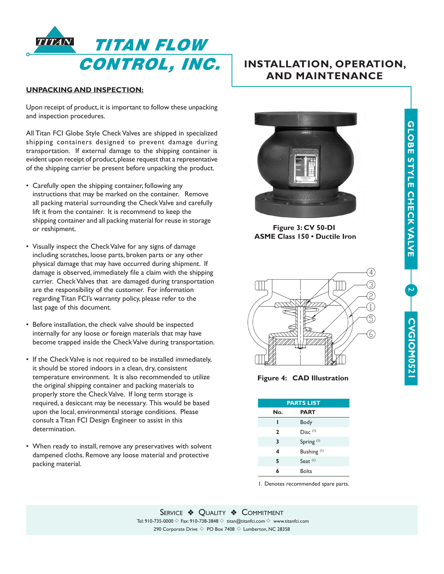

# **UNPACKING AND INSPECTION:**

Upon receipt of product, it is important to follow these unpacking and inspection procedures.

All Titan FCI Globe Style Check Valves are shipped in specialized shipping containers designed to prevent damage during transportation. If external damage to the shipping container is evident upon receipt of product, please request that a representative of the shipping carrier be present before unpacking the product.

- Carefully open the shipping container, following any instructions that may be marked on the container. Remove all packing material surrounding the Check Valve and carefully lift it from the container. It is recommend to keep the shipping container and all packing material for reuse in storage or reshipment.
- Visually inspect the Check Valve for any signs of damage including scratches, loose parts, broken parts or any other physical damage that may have occurred during shipment. If damage is observed, immediately file a claim with the shipping carrier. Check Valves that are damaged during transportation are the responsibility of the customer. For information regarding Titan FCI's warranty policy, please refer to the last page of this document.
- Before installation, the check valve should be inspected internally for any loose or foreign materials that may have become trapped inside the Check Valve during transportation.
- If the Check Valve is not required to be installed immediately, it should be stored indoors in a clean, dry, consistent temperature environment. It is also recommended to utilize the original shipping container and packing materials to properly store the Check Valve. If long term storage is required, a desiccant may be necessary. This would be based upon the local, environmental storage conditions. Please consult a Titan FCI Design Engineer to assist in this determination.
- When ready to install, remove any preservatives with solvent dampened cloths. Remove any loose material and protective packing material.

# **INSTALLATION, OPERATION, AND MAINTENANCE**



**Figure 3: CV 50-DI ASME Class 150 • Ductile Iron**



 $\overline{\phantom{0}}$ 

CVGIOM0521

**CVGIOM0521** 

**CVGIOM0521**

**GLOBE STYLE CHECK VALVE**

GLOBE STYLE CHECK VALVE

**Figure 4: CAD Illustration**

| <b>PARTS LIST</b> |                        |  |
|-------------------|------------------------|--|
| No.               | <b>PART</b>            |  |
|                   | Body                   |  |
| 2                 | Disc <sup>(1)</sup>    |  |
| 3                 | Spring <sup>(1)</sup>  |  |
| 4                 | Bushing <sup>(1)</sup> |  |
| 5                 | Seat <sup>(1)</sup>    |  |
| 6                 | <b>Bolts</b>           |  |

1. Denotes recommended spare parts.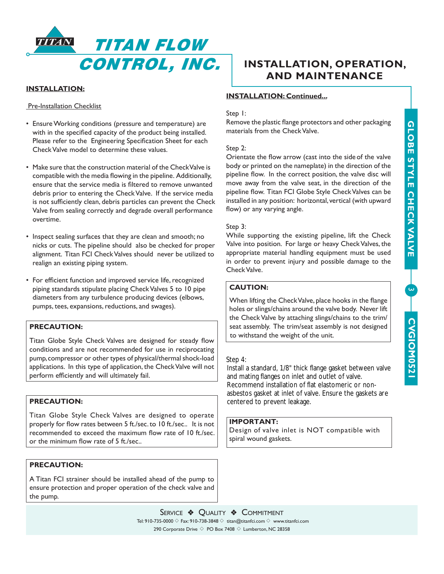**9** 

CVGIOM0521

CVGION0521

**CVGIOM0521**



# **INSTALLATION:**

**Pre-Installation Checklist** 

- Ensure Working conditions (pressure and temperature) are with in the specified capacity of the product being installed. Please refer to the Engineering Specification Sheet for each Check Valve model to determine these values.
- Make sure that the construction material of the Check Valve is compatible with the media flowing in the pipeline. Additionally, ensure that the service media is filtered to remove unwanted debris prior to entering the Check Valve. If the service media is not sufficiently clean, debris particles can prevent the Check Valve from sealing correctly and degrade overall performance overtime.
- Inspect sealing surfaces that they are clean and smooth; no nicks or cuts. The pipeline should also be checked for proper alignment. Titan FCI Check Valves should never be utilized to realign an existing piping system.
- For efficient function and improved service life, recognized piping standards stipulate placing Check Valves 5 to 10 pipe diameters from any turbulence producing devices (elbows, pumps, tees, expansions, reductions, and swages).

# **PRECAUTION:**

Titan Globe Style Check Valves are designed for steady flow conditions and are not recommended for use in reciprocating pump, compressor or other types of physical/thermal shock-load applications. In this type of application, the Check Valve will not perform efficiently and will ultimately fail.

# **PRECAUTION:**

Titan Globe Style Check Valves are designed to operate properly for flow rates between 5 ft./sec. to 10 ft./sec.. It is not recommended to exceed the maximum flow rate of 10 ft./sec. or the minimum flow rate of 5 ft./sec..

# **PRECAUTION:**

A Titan FCI strainer should be installed ahead of the pump to ensure protection and proper operation of the check valve and the pump.

# **INSTALLATION, OPERATION, AND MAINTENANCE**

# **INSTALLATION: Continued...**

# Step 1:

Remove the plastic flange protectors and other packaging materials from the Check Valve.

#### Step 2:

Orientate the flow arrow (cast into the sideof the valve body or printed on the nameplate) in the direction of the pipeline flow. In the correct position, the valve disc will move away from the valve seat, in the direction of the pipeline flow. Titan FCI Globe Style Check Valves can be installed in any position: horizontal, vertical (with upward flow) or any varying angle.

## Step 3:

While supporting the existing pipeline, lift the Check Valve into position. For large or heavy Check Valves, the appropriate material handling equipment must be used in order to prevent injury and possible damage to the Check Valve.

# **CAUTION:**

When lifting the Check Valve, place hooks in the flange holes or slings/chains around the valve body. Never lift the Check Valve by attaching slings/chains to the trim/ seat assembly. The trim/seat assembly is not designed to withstand the weight of the unit.

# Step 4:

centered to prevent leakage. asbestos gasket at inlet of valve. Ensure the gaskets are Recommend installation of flat elastomeric or nonand mating flanges on inlet and outlet of valve. Install a standard, 1/8" thick flange gasket between valve

# **IMPORTANT:**

Design of valve inlet is NOT compatible with spiral wound gaskets.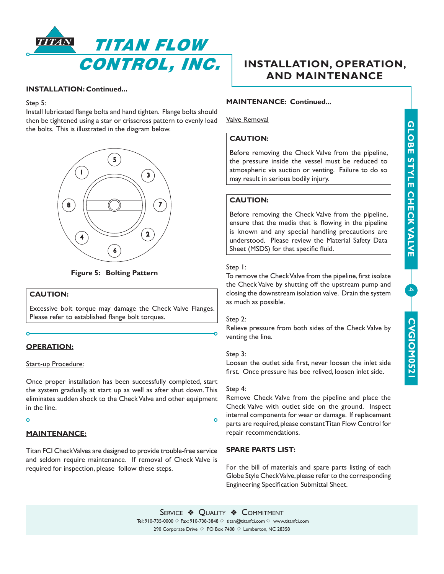

# **INSTALLATION: Continued...**

#### Step 5:

Install lubricated flange bolts and hand tighten. Flange bolts should then be tightened using a star or crisscross pattern to evenly load the bolts. This is illustrated in the diagram below.



**Figure 5: Bolting Pattern**

# **CAUTION:**

Excessive bolt torque may damage the Check Valve Flanges. Please refer to established flange bolt torques.

# **OPERATION:**

## Start-up Procedure:

Once proper installation has been successfully completed, start the system gradually, at start up as well as after shut down. This eliminates sudden shock to the Check Valve and other equipment in the line.

# **MAINTENANCE:**

Titan FCI Check Valves are designed to provide trouble-free service and seldom require maintenance. If removal of Check Valve is required for inspection, please follow these steps.

# **INSTALLATION, OPERATION, AND MAINTENANCE**

# **MAINTENANCE: Continued...**

Valve Removal

# **CAUTION:**

Before removing the Check Valve from the pipeline, the pressure inside the vessel must be reduced to atmospheric via suction or venting. Failure to do so may result in serious bodily injury.

# **CAUTION:**

Before removing the Check Valve from the pipeline, ensure that the media that is flowing in the pipeline is known and any special handling precautions are understood. Please review the Material Safety Data Sheet (MSDS) for that specific fluid.

# Step 1:

To remove the Check Valve from the pipeline, first isolate the Check Valve by shutting off the upstream pump and closing the downstream isolation valve. Drain the system as much as possible.

## Step 2:

Relieve pressure from both sides of the Check Valve by venting the line.

## Step 3:

Loosen the outlet side first, never loosen the inlet side first. Once pressure has bee relived, loosen inlet side.

## Step 4:

Remove Check Valve from the pipeline and place the Check Valve with outlet side on the ground. Inspect internal components for wear or damage. If replacement parts are required, please constant Titan Flow Control for repair recommendations.

# **SPARE PARTS LIST:**

For the bill of materials and spare parts listing of each Globe Style Check Valve, please refer to the corresponding Engineering Specification Submittal Sheet.

SERVICE & QUALITY & COMMITMENT Tel: 910-735-0000  $\Diamond$  Fax: 910-738-3848  $\Diamond$  titan@titanfci.com  $\Diamond$  www.titanfci.com 290 Corporate Drive  $\diamond$  PO Box 7408  $\diamond$  Lumberton, NC 28358

# GLOBE STYLE CHECK VALVE **GLOBE STYLE CHECK VALVE** 4 CVGIOM0521 **CVGIOM0521**CVGIOM0521